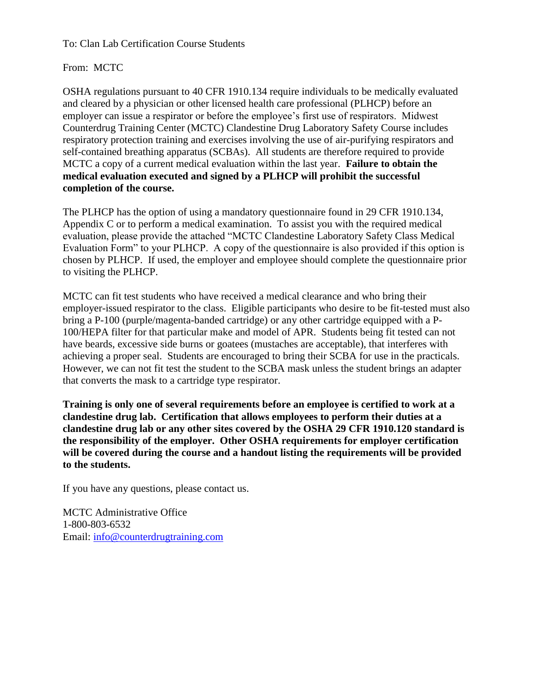To: Clan Lab Certification Course Students

From: MCTC

OSHA regulations pursuant to 40 CFR 1910.134 require individuals to be medically evaluated and cleared by a physician or other licensed health care professional (PLHCP) before an employer can issue a respirator or before the employee's first use of respirators. Midwest Counterdrug Training Center (MCTC) Clandestine Drug Laboratory Safety Course includes respiratory protection training and exercises involving the use of air-purifying respirators and self-contained breathing apparatus (SCBAs). All students are therefore required to provide MCTC a copy of a current medical evaluation within the last year. **Failure to obtain the medical evaluation executed and signed by a PLHCP will prohibit the successful completion of the course.**

The PLHCP has the option of using a mandatory questionnaire found in 29 CFR 1910.134, Appendix C or to perform a medical examination. To assist you with the required medical evaluation, please provide the attached "MCTC Clandestine Laboratory Safety Class Medical Evaluation Form" to your PLHCP. A copy of the questionnaire is also provided if this option is chosen by PLHCP. If used, the employer and employee should complete the questionnaire prior to visiting the PLHCP.

MCTC can fit test students who have received a medical clearance and who bring their employer-issued respirator to the class. Eligible participants who desire to be fit-tested must also bring a P-100 (purple/magenta-banded cartridge) or any other cartridge equipped with a P-100/HEPA filter for that particular make and model of APR. Students being fit tested can not have beards, excessive side burns or goatees (mustaches are acceptable), that interferes with achieving a proper seal. Students are encouraged to bring their SCBA for use in the practicals. However, we can not fit test the student to the SCBA mask unless the student brings an adapter that converts the mask to a cartridge type respirator.

**Training is only one of several requirements before an employee is certified to work at a clandestine drug lab. Certification that allows employees to perform their duties at a clandestine drug lab or any other sites covered by the OSHA 29 CFR 1910.120 standard is the responsibility of the employer. Other OSHA requirements for employer certification will be covered during the course and a handout listing the requirements will be provided to the students.**

If you have any questions, please contact us.

MCTC Administrative Office 1-800-803-6532 Email: [info@counterdrugtraining.com](mailto:info@counterdrugtraining.com)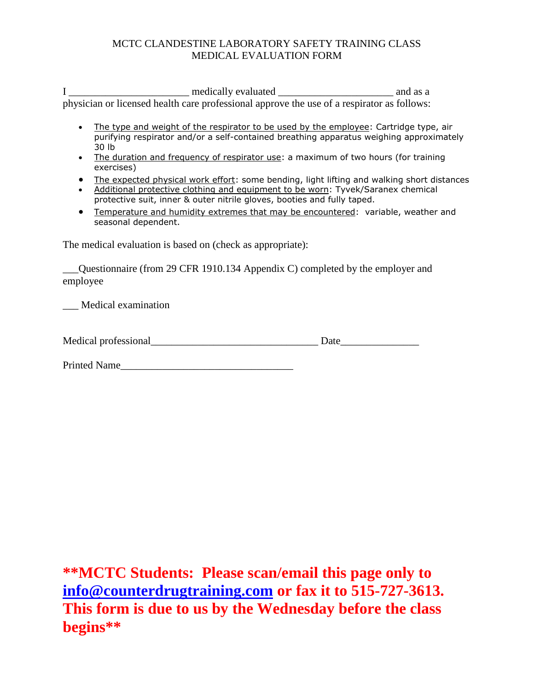## MCTC CLANDESTINE LABORATORY SAFETY TRAINING CLASS MEDICAL EVALUATION FORM

I \_\_\_\_\_\_\_\_\_\_\_\_\_\_\_\_\_\_\_\_\_\_\_\_\_\_\_ medically evaluated \_\_\_\_\_\_\_\_\_\_\_\_\_\_\_\_\_\_\_\_\_\_\_\_\_\_\_\_\_\_\_ and as a physician or licensed health care professional approve the use of a respirator as follows:

- The type and weight of the respirator to be used by the employee: Cartridge type, air purifying respirator and/or a self-contained breathing apparatus weighing approximately 30 lb
- The duration and frequency of respirator use: a maximum of two hours (for training exercises)
- The expected physical work effort: some bending, light lifting and walking short distances
- Additional protective clothing and equipment to be worn: Tyvek/Saranex chemical protective suit, inner & outer nitrile gloves, booties and fully taped.
- Temperature and humidity extremes that may be encountered: variable, weather and seasonal dependent.

The medical evaluation is based on (check as appropriate):

\_\_\_Questionnaire (from 29 CFR 1910.134 Appendix C) completed by the employer and employee

\_\_\_ Medical examination

| Medical professional |  |  |
|----------------------|--|--|
|----------------------|--|--|

Printed Name

**\*\*MCTC Students: Please scan/email this page only to [info@counterdrugtraining.com](mailto:info@counterdrugtraining.com) or fax it to 515-727-3613. This form is due to us by the Wednesday before the class begins\*\***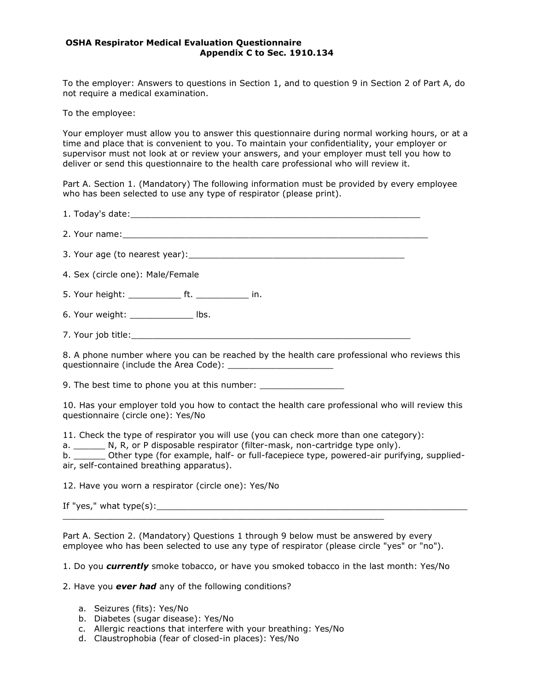## **OSHA Respirator Medical Evaluation Questionnaire Appendix C to Sec. 1910.134**

To the employer: Answers to questions in Section 1, and to question 9 in Section 2 of Part A, do not require a medical examination.

To the employee:

Your employer must allow you to answer this questionnaire during normal working hours, or at a time and place that is convenient to you. To maintain your confidentiality, your employer or supervisor must not look at or review your answers, and your employer must tell you how to deliver or send this questionnaire to the health care professional who will review it.

Part A. Section 1. (Mandatory) The following information must be provided by every employee who has been selected to use any type of respirator (please print).

| 4. Sex (circle one): Male/Female                                                                                                                                                                                                                                                                                                   |
|------------------------------------------------------------------------------------------------------------------------------------------------------------------------------------------------------------------------------------------------------------------------------------------------------------------------------------|
| 5. Your height: _______________ ft. ________________ in.                                                                                                                                                                                                                                                                           |
| 6. Your weight: ______________ lbs.                                                                                                                                                                                                                                                                                                |
|                                                                                                                                                                                                                                                                                                                                    |
| 8. A phone number where you can be reached by the health care professional who reviews this                                                                                                                                                                                                                                        |
| 9. The best time to phone you at this number: __________________________________                                                                                                                                                                                                                                                   |
| 10. Has your employer told you how to contact the health care professional who will review this<br>questionnaire (circle one): Yes/No                                                                                                                                                                                              |
| 11. Check the type of respirator you will use (you can check more than one category):<br>a. _________ N, R, or P disposable respirator (filter-mask, non-cartridge type only).<br>b. ________ Other type (for example, half- or full-facepiece type, powered-air purifying, supplied-<br>air, self-contained breathing apparatus). |
| 12. Have you worn a respirator (circle one): Yes/No                                                                                                                                                                                                                                                                                |
|                                                                                                                                                                                                                                                                                                                                    |
| <u> 1989 - Johann Stoff, amerikansk politiker (* 1908)</u><br>Part A. Section 2. (Mandatory) Questions 1 through 9 below must be answered by every<br>employee who has been selected to use any type of respirator (please circle "yes" or "no").                                                                                  |

1. Do you *currently* smoke tobacco, or have you smoked tobacco in the last month: Yes/No

- 2. Have you *ever had* any of the following conditions?
	- a. Seizures (fits): Yes/No
	- b. Diabetes (sugar disease): Yes/No
	- c. Allergic reactions that interfere with your breathing: Yes/No
	- d. Claustrophobia (fear of closed-in places): Yes/No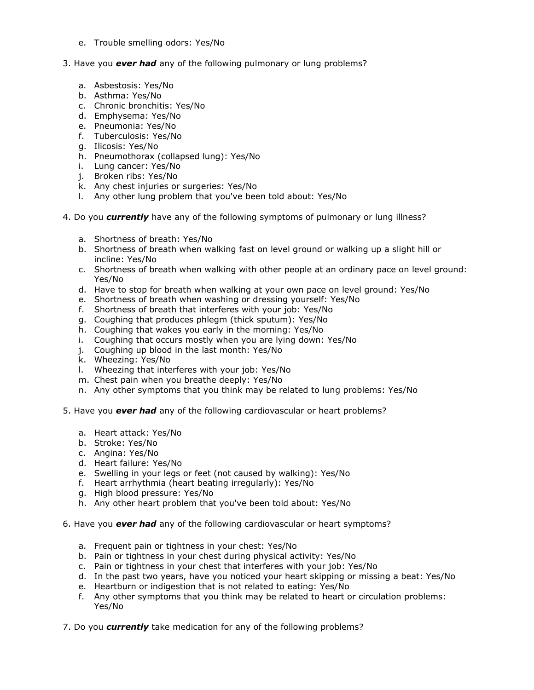- e. Trouble smelling odors: Yes/No
- 3. Have you *ever had* any of the following pulmonary or lung problems?
	- a. Asbestosis: Yes/No
	- b. Asthma: Yes/No
	- c. Chronic bronchitis: Yes/No
	- d. Emphysema: Yes/No
	- e. Pneumonia: Yes/No
	- f. Tuberculosis: Yes/No
	- g. Ilicosis: Yes/No
	- h. Pneumothorax (collapsed lung): Yes/No
	- i. Lung cancer: Yes/No
	- j. Broken ribs: Yes/No
	- k. Any chest injuries or surgeries: Yes/No
	- l. Any other lung problem that you've been told about: Yes/No
- 4. Do you *currently* have any of the following symptoms of pulmonary or lung illness?
	- a. Shortness of breath: Yes/No
	- b. Shortness of breath when walking fast on level ground or walking up a slight hill or incline: Yes/No
	- c. Shortness of breath when walking with other people at an ordinary pace on level ground: Yes/No
	- d. Have to stop for breath when walking at your own pace on level ground: Yes/No
	- e. Shortness of breath when washing or dressing yourself: Yes/No
	- f. Shortness of breath that interferes with your job: Yes/No
	- g. Coughing that produces phlegm (thick sputum): Yes/No
	- h. Coughing that wakes you early in the morning: Yes/No
	- i. Coughing that occurs mostly when you are lying down: Yes/No
	- j. Coughing up blood in the last month: Yes/No
	- k. Wheezing: Yes/No
	- l. Wheezing that interferes with your job: Yes/No
	- m. Chest pain when you breathe deeply: Yes/No
	- n. Any other symptoms that you think may be related to lung problems: Yes/No
- 5. Have you *ever had* any of the following cardiovascular or heart problems?
	- a. Heart attack: Yes/No
	- b. Stroke: Yes/No
	- c. Angina: Yes/No
	- d. Heart failure: Yes/No
	- e. Swelling in your legs or feet (not caused by walking): Yes/No
	- f. Heart arrhythmia (heart beating irregularly): Yes/No
	- g. High blood pressure: Yes/No
	- h. Any other heart problem that you've been told about: Yes/No
- 6. Have you *ever had* any of the following cardiovascular or heart symptoms?
	- a. Frequent pain or tightness in your chest: Yes/No
	- b. Pain or tightness in your chest during physical activity: Yes/No
	- c. Pain or tightness in your chest that interferes with your job: Yes/No
	- d. In the past two years, have you noticed your heart skipping or missing a beat: Yes/No
	- e. Heartburn or indigestion that is not related to eating: Yes/No
	- f. Any other symptoms that you think may be related to heart or circulation problems: Yes/No
- 7. Do you *currently* take medication for any of the following problems?